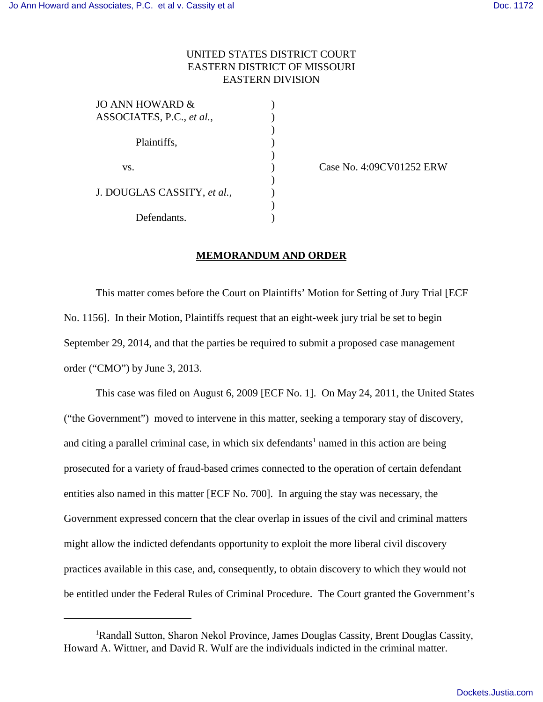## UNITED STATES DISTRICT COURT EASTERN DISTRICT OF MISSOURI EASTERN DIVISION

| JO ANN HOWARD &             |  |
|-----------------------------|--|
| ASSOCIATES, P.C., et al.,   |  |
|                             |  |
| Plaintiffs,                 |  |
|                             |  |
| VS.                         |  |
|                             |  |
| J. DOUGLAS CASSITY, et al., |  |
|                             |  |
| Defendants.                 |  |
|                             |  |

(ase No. 4:09CV01252 ERW)

## **MEMORANDUM AND ORDER**

This matter comes before the Court on Plaintiffs' Motion for Setting of Jury Trial [ECF No. 1156]. In their Motion, Plaintiffs request that an eight-week jury trial be set to begin September 29, 2014, and that the parties be required to submit a proposed case management order ("CMO") by June 3, 2013.

This case was filed on August 6, 2009 [ECF No. 1]. On May 24, 2011, the United States ("the Government") moved to intervene in this matter, seeking a temporary stay of discovery, and citing a parallel criminal case, in which six defendants<sup>1</sup> named in this action are being prosecuted for a variety of fraud-based crimes connected to the operation of certain defendant entities also named in this matter [ECF No. 700]. In arguing the stay was necessary, the Government expressed concern that the clear overlap in issues of the civil and criminal matters might allow the indicted defendants opportunity to exploit the more liberal civil discovery practices available in this case, and, consequently, to obtain discovery to which they would not be entitled under the Federal Rules of Criminal Procedure. The Court granted the Government's

<sup>1</sup>Randall Sutton, Sharon Nekol Province, James Douglas Cassity, Brent Douglas Cassity, Howard A. Wittner, and David R. Wulf are the individuals indicted in the criminal matter.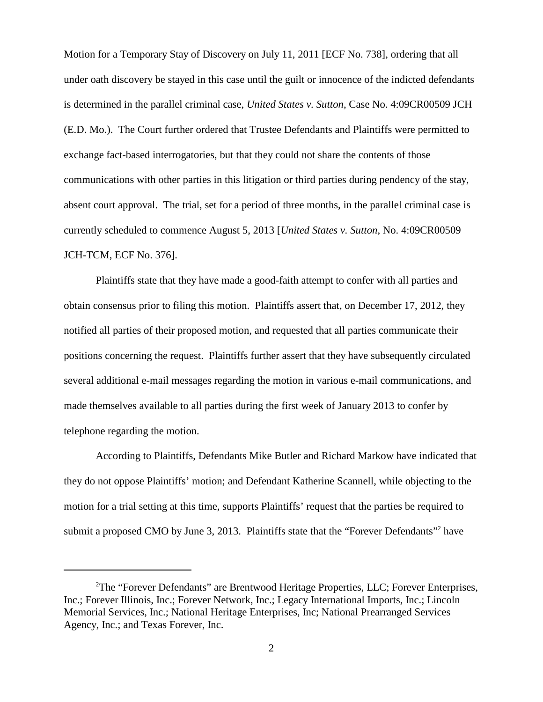Motion for a Temporary Stay of Discovery on July 11, 2011 [ECF No. 738], ordering that all under oath discovery be stayed in this case until the guilt or innocence of the indicted defendants is determined in the parallel criminal case, *United States v. Sutton*, Case No. 4:09CR00509 JCH (E.D. Mo.). The Court further ordered that Trustee Defendants and Plaintiffs were permitted to exchange fact-based interrogatories, but that they could not share the contents of those communications with other parties in this litigation or third parties during pendency of the stay, absent court approval. The trial, set for a period of three months, in the parallel criminal case is currently scheduled to commence August 5, 2013 [*United States v. Sutton*, No. 4:09CR00509 JCH-TCM, ECF No. 376].

Plaintiffs state that they have made a good-faith attempt to confer with all parties and obtain consensus prior to filing this motion. Plaintiffs assert that, on December 17, 2012, they notified all parties of their proposed motion, and requested that all parties communicate their positions concerning the request. Plaintiffs further assert that they have subsequently circulated several additional e-mail messages regarding the motion in various e-mail communications, and made themselves available to all parties during the first week of January 2013 to confer by telephone regarding the motion.

According to Plaintiffs, Defendants Mike Butler and Richard Markow have indicated that they do not oppose Plaintiffs' motion; and Defendant Katherine Scannell, while objecting to the motion for a trial setting at this time, supports Plaintiffs' request that the parties be required to submit a proposed CMO by June 3, 2013. Plaintiffs state that the "Forever Defendants"<sup>2</sup> have

<sup>&</sup>lt;sup>2</sup>The "Forever Defendants" are Brentwood Heritage Properties, LLC; Forever Enterprises, Inc.; Forever Illinois, Inc.; Forever Network, Inc.; Legacy International Imports, Inc.; Lincoln Memorial Services, Inc.; National Heritage Enterprises, Inc; National Prearranged Services Agency, Inc.; and Texas Forever, Inc.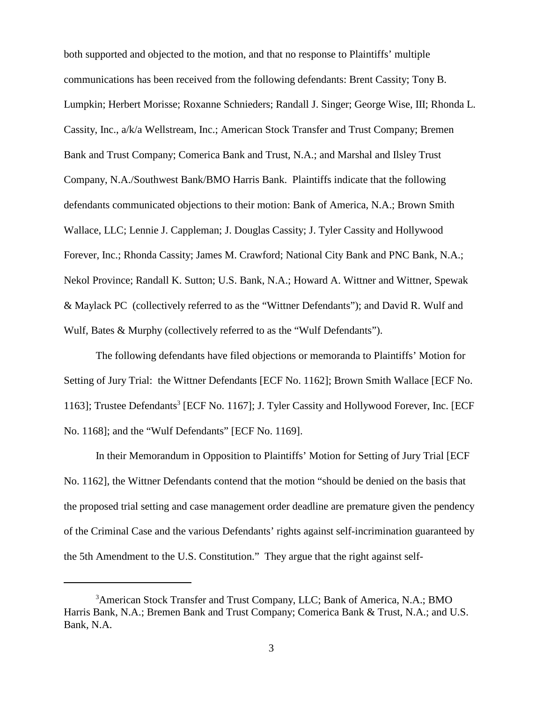both supported and objected to the motion, and that no response to Plaintiffs' multiple communications has been received from the following defendants: Brent Cassity; Tony B. Lumpkin; Herbert Morisse; Roxanne Schnieders; Randall J. Singer; George Wise, III; Rhonda L. Cassity, Inc., a/k/a Wellstream, Inc.; American Stock Transfer and Trust Company; Bremen Bank and Trust Company; Comerica Bank and Trust, N.A.; and Marshal and Ilsley Trust Company, N.A./Southwest Bank/BMO Harris Bank. Plaintiffs indicate that the following defendants communicated objections to their motion: Bank of America, N.A.; Brown Smith Wallace, LLC; Lennie J. Cappleman; J. Douglas Cassity; J. Tyler Cassity and Hollywood Forever, Inc.; Rhonda Cassity; James M. Crawford; National City Bank and PNC Bank, N.A.; Nekol Province; Randall K. Sutton; U.S. Bank, N.A.; Howard A. Wittner and Wittner, Spewak & Maylack PC (collectively referred to as the "Wittner Defendants"); and David R. Wulf and Wulf, Bates & Murphy (collectively referred to as the "Wulf Defendants").

The following defendants have filed objections or memoranda to Plaintiffs' Motion for Setting of Jury Trial: the Wittner Defendants [ECF No. 1162]; Brown Smith Wallace [ECF No. 1163]; Trustee Defendants<sup>3</sup> [ECF No. 1167]; J. Tyler Cassity and Hollywood Forever, Inc. [ECF No. 1168]; and the "Wulf Defendants" [ECF No. 1169].

In their Memorandum in Opposition to Plaintiffs' Motion for Setting of Jury Trial [ECF No. 1162], the Wittner Defendants contend that the motion "should be denied on the basis that the proposed trial setting and case management order deadline are premature given the pendency of the Criminal Case and the various Defendants' rights against self-incrimination guaranteed by the 5th Amendment to the U.S. Constitution." They argue that the right against self-

<sup>&</sup>lt;sup>3</sup>American Stock Transfer and Trust Company, LLC; Bank of America, N.A.; BMO Harris Bank, N.A.; Bremen Bank and Trust Company; Comerica Bank & Trust, N.A.; and U.S. Bank, N.A.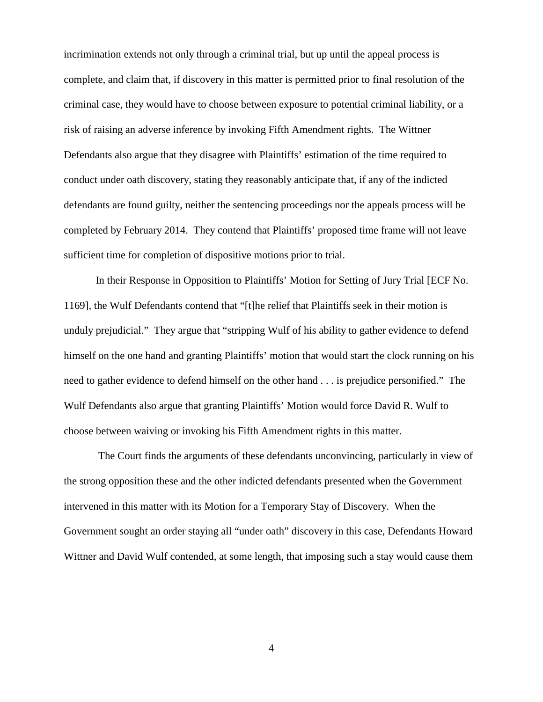incrimination extends not only through a criminal trial, but up until the appeal process is complete, and claim that, if discovery in this matter is permitted prior to final resolution of the criminal case, they would have to choose between exposure to potential criminal liability, or a risk of raising an adverse inference by invoking Fifth Amendment rights. The Wittner Defendants also argue that they disagree with Plaintiffs' estimation of the time required to conduct under oath discovery, stating they reasonably anticipate that, if any of the indicted defendants are found guilty, neither the sentencing proceedings nor the appeals process will be completed by February 2014. They contend that Plaintiffs' proposed time frame will not leave sufficient time for completion of dispositive motions prior to trial.

In their Response in Opposition to Plaintiffs' Motion for Setting of Jury Trial [ECF No. 1169], the Wulf Defendants contend that "[t]he relief that Plaintiffs seek in their motion is unduly prejudicial." They argue that "stripping Wulf of his ability to gather evidence to defend himself on the one hand and granting Plaintiffs' motion that would start the clock running on his need to gather evidence to defend himself on the other hand . . . is prejudice personified." The Wulf Defendants also argue that granting Plaintiffs' Motion would force David R. Wulf to choose between waiving or invoking his Fifth Amendment rights in this matter.

 The Court finds the arguments of these defendants unconvincing, particularly in view of the strong opposition these and the other indicted defendants presented when the Government intervened in this matter with its Motion for a Temporary Stay of Discovery. When the Government sought an order staying all "under oath" discovery in this case, Defendants Howard Wittner and David Wulf contended, at some length, that imposing such a stay would cause them

4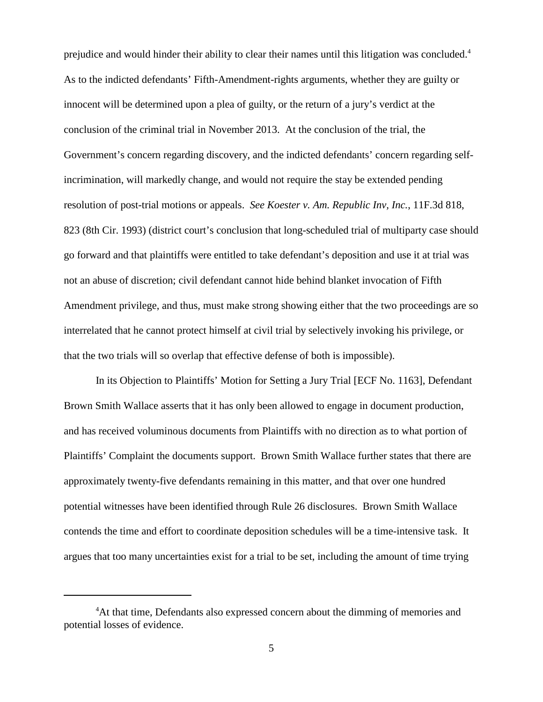prejudice and would hinder their ability to clear their names until this litigation was concluded.<sup>4</sup> As to the indicted defendants' Fifth-Amendment-rights arguments, whether they are guilty or innocent will be determined upon a plea of guilty, or the return of a jury's verdict at the conclusion of the criminal trial in November 2013. At the conclusion of the trial, the Government's concern regarding discovery, and the indicted defendants' concern regarding selfincrimination, will markedly change, and would not require the stay be extended pending resolution of post-trial motions or appeals. *See Koester v. Am. Republic Inv, Inc.*, 11F.3d 818, 823 (8th Cir. 1993) (district court's conclusion that long-scheduled trial of multiparty case should go forward and that plaintiffs were entitled to take defendant's deposition and use it at trial was not an abuse of discretion; civil defendant cannot hide behind blanket invocation of Fifth Amendment privilege, and thus, must make strong showing either that the two proceedings are so interrelated that he cannot protect himself at civil trial by selectively invoking his privilege, or that the two trials will so overlap that effective defense of both is impossible).

In its Objection to Plaintiffs' Motion for Setting a Jury Trial [ECF No. 1163], Defendant Brown Smith Wallace asserts that it has only been allowed to engage in document production, and has received voluminous documents from Plaintiffs with no direction as to what portion of Plaintiffs' Complaint the documents support. Brown Smith Wallace further states that there are approximately twenty-five defendants remaining in this matter, and that over one hundred potential witnesses have been identified through Rule 26 disclosures. Brown Smith Wallace contends the time and effort to coordinate deposition schedules will be a time-intensive task. It argues that too many uncertainties exist for a trial to be set, including the amount of time trying

<sup>&</sup>lt;sup>4</sup>At that time, Defendants also expressed concern about the dimming of memories and potential losses of evidence.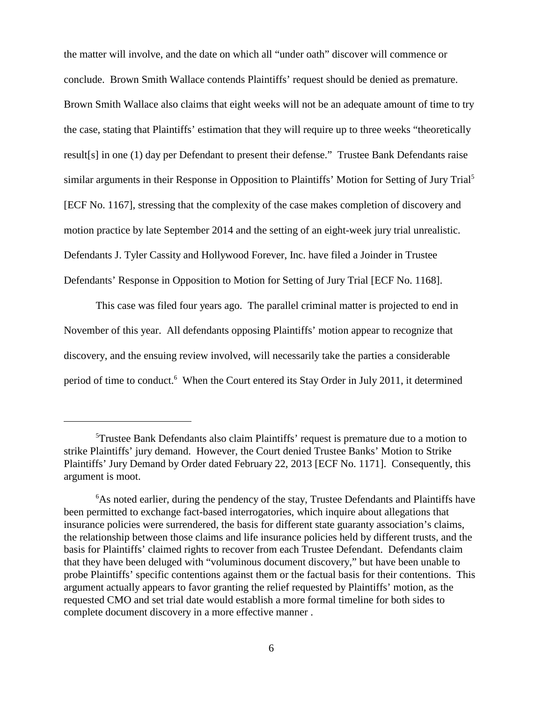the matter will involve, and the date on which all "under oath" discover will commence or conclude. Brown Smith Wallace contends Plaintiffs' request should be denied as premature. Brown Smith Wallace also claims that eight weeks will not be an adequate amount of time to try the case, stating that Plaintiffs' estimation that they will require up to three weeks "theoretically result[s] in one (1) day per Defendant to present their defense." Trustee Bank Defendants raise similar arguments in their Response in Opposition to Plaintiffs' Motion for Setting of Jury Trial<sup>5</sup> [ECF No. 1167], stressing that the complexity of the case makes completion of discovery and motion practice by late September 2014 and the setting of an eight-week jury trial unrealistic. Defendants J. Tyler Cassity and Hollywood Forever, Inc. have filed a Joinder in Trustee Defendants' Response in Opposition to Motion for Setting of Jury Trial [ECF No. 1168].

This case was filed four years ago. The parallel criminal matter is projected to end in November of this year. All defendants opposing Plaintiffs' motion appear to recognize that discovery, and the ensuing review involved, will necessarily take the parties a considerable period of time to conduct.<sup>6</sup> When the Court entered its Stay Order in July 2011, it determined

<sup>5</sup>Trustee Bank Defendants also claim Plaintiffs' request is premature due to a motion to strike Plaintiffs' jury demand. However, the Court denied Trustee Banks' Motion to Strike Plaintiffs' Jury Demand by Order dated February 22, 2013 [ECF No. 1171]. Consequently, this argument is moot.

<sup>&</sup>lt;sup>6</sup>As noted earlier, during the pendency of the stay, Trustee Defendants and Plaintiffs have been permitted to exchange fact-based interrogatories, which inquire about allegations that insurance policies were surrendered, the basis for different state guaranty association's claims, the relationship between those claims and life insurance policies held by different trusts, and the basis for Plaintiffs' claimed rights to recover from each Trustee Defendant. Defendants claim that they have been deluged with "voluminous document discovery," but have been unable to probe Plaintiffs' specific contentions against them or the factual basis for their contentions. This argument actually appears to favor granting the relief requested by Plaintiffs' motion, as the requested CMO and set trial date would establish a more formal timeline for both sides to complete document discovery in a more effective manner .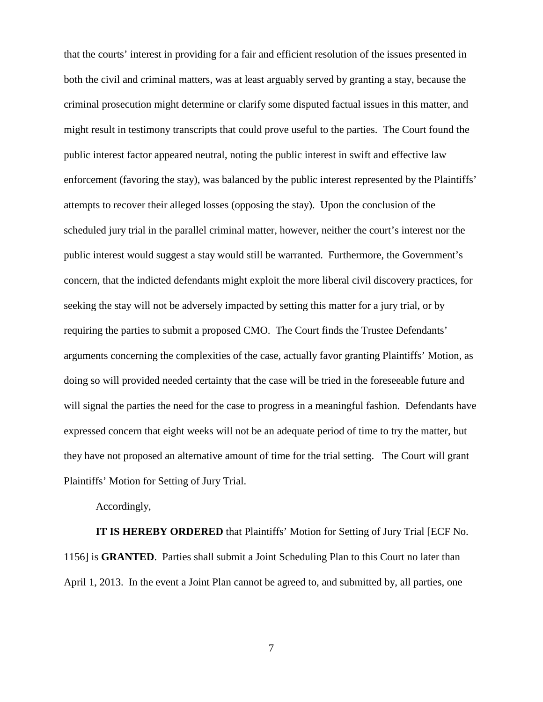that the courts' interest in providing for a fair and efficient resolution of the issues presented in both the civil and criminal matters, was at least arguably served by granting a stay, because the criminal prosecution might determine or clarify some disputed factual issues in this matter, and might result in testimony transcripts that could prove useful to the parties. The Court found the public interest factor appeared neutral, noting the public interest in swift and effective law enforcement (favoring the stay), was balanced by the public interest represented by the Plaintiffs' attempts to recover their alleged losses (opposing the stay). Upon the conclusion of the scheduled jury trial in the parallel criminal matter, however, neither the court's interest nor the public interest would suggest a stay would still be warranted. Furthermore, the Government's concern, that the indicted defendants might exploit the more liberal civil discovery practices, for seeking the stay will not be adversely impacted by setting this matter for a jury trial, or by requiring the parties to submit a proposed CMO. The Court finds the Trustee Defendants' arguments concerning the complexities of the case, actually favor granting Plaintiffs' Motion, as doing so will provided needed certainty that the case will be tried in the foreseeable future and will signal the parties the need for the case to progress in a meaningful fashion. Defendants have expressed concern that eight weeks will not be an adequate period of time to try the matter, but they have not proposed an alternative amount of time for the trial setting. The Court will grant Plaintiffs' Motion for Setting of Jury Trial.

Accordingly,

**IT IS HEREBY ORDERED** that Plaintiffs' Motion for Setting of Jury Trial [ECF No. 1156] is **GRANTED**. Parties shall submit a Joint Scheduling Plan to this Court no later than April 1, 2013. In the event a Joint Plan cannot be agreed to, and submitted by, all parties, one

7